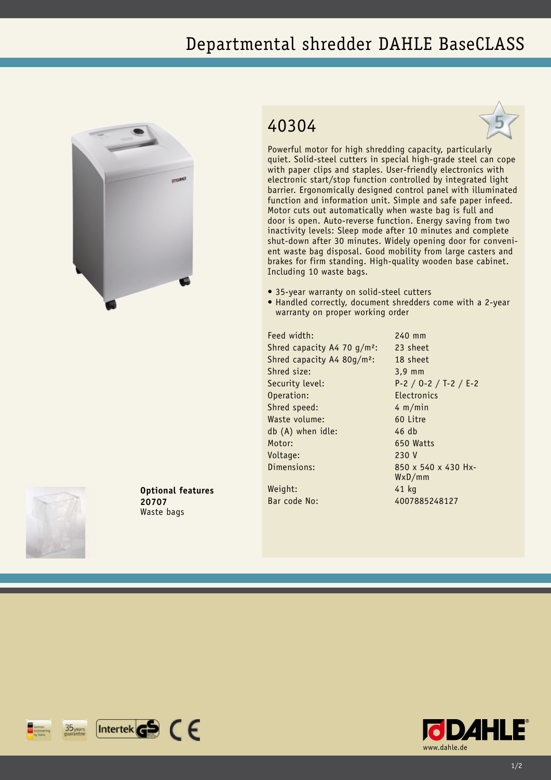## Departmental shredder DAHLE BaseCLASS



## 40304



Powerful motor for high shredding capacity, particularly quiet. Solid-steel cutters in special high-grade steel can cope with paper clips and staples. User-friendly electronics with electronic start/stop function controlled by integrated light barrier. Ergonomically designed control panel with illuminated function and information unit. Simple and safe paper infeed. Motor cuts out automatically when waste bag is full and door is open. Auto-reverse function. Energy saving from two inactivity levels: Sleep mode after 10 minutes and complete shut-down after 30 minutes. Widely opening door for convenient waste bag disposal. Good mobility from large casters and brakes for firm standing. High-quality wooden base cabinet. Including 10 waste bags.

- 35-year warranty on solid-steel cutters
- Handled correctly, document shredders come with a 2-year warranty on proper working order

Feed width: 240 mm Shred capacity A4 70 g/m<sup>2</sup>: 23 sheet Shred capacity A4 80g/m²: 18 sheet Shred size: 3,9 mm Security level: P-2 / O-2 / T-2 / E-2 Operation: Electronics Shred speed: 4 m/min Waste volume: 60 Litre db (A) when idle: 46 db Motor: 650 Watts Voltage: 230 V Dimensions: 850 x 540 x 430 Hx-

WxD/mm

Weight: 41 kg Bar code No: 4007885248127





**Optional features**

**20707** Waste bags